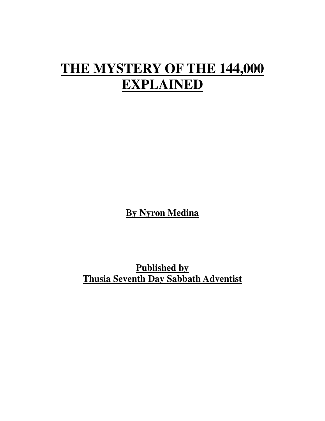## **THE MYSTERY OF THE 144,000 EXPLAINED**

**By Nyron Medina**

**Published by Thusia Seventh Day Sabbath Adventist**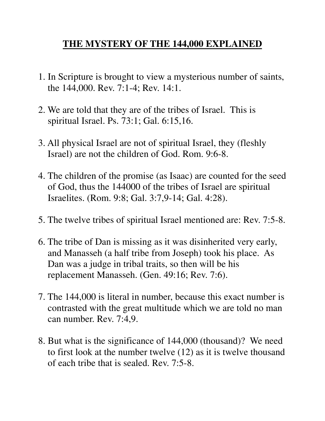## **THE MYSTERY OF THE 144,000 EXPLAINED**

- 1. In Scripture is brought to view a mysterious number of saints, the 144,000. Rev. 7:1-4; Rev. 14:1.
- 2. We are told that they are of the tribes of Israel. This is spiritual Israel. Ps. 73:1; Gal. 6:15,16.
- 3. All physical Israel are not of spiritual Israel, they (fleshly Israel) are not the children of God. Rom. 9:6-8.
- 4. The children of the promise (as Isaac) are counted for the seed of God, thus the 144000 of the tribes of Israel are spiritual Israelites. (Rom. 9:8; Gal. 3:7,9-14; Gal. 4:28).
- 5. The twelve tribes of spiritual Israel mentioned are: Rev. 7:5-8.
- 6. The tribe of Dan is missing as it was disinherited very early, and Manasseh (a half tribe from Joseph) took his place. As Dan was a judge in tribal traits, so then will be his replacement Manasseh. (Gen. 49:16; Rev. 7:6).
- 7. The 144,000 is literal in number, because this exact number is contrasted with the great multitude which we are told no man can number. Rev. 7:4,9.
- 8. But what is the significance of 144,000 (thousand)? We need to first look at the number twelve (12) as it is twelve thousand of each tribe that is sealed. Rev. 7:5-8.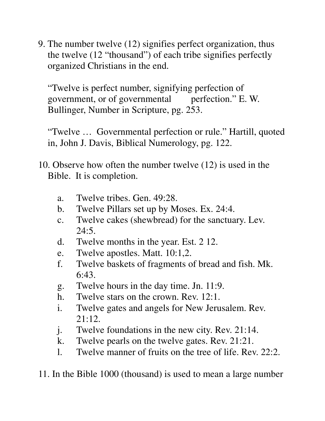9. The number twelve (12) signifies perfect organization, thus the twelve (12 "thousand") of each tribe signifies perfectly organized Christians in the end.

 "Twelve is perfect number, signifying perfection of government, or of governmental perfection." E. W. Bullinger, Number in Scripture, pg. 253.

 "Twelve … Governmental perfection or rule." Hartill, quoted in, John J. Davis, Biblical Numerology, pg. 122.

- 10. Observe how often the number twelve (12) is used in the Bible. It is completion.
	- a. Twelve tribes. Gen. 49:28.
	- b. Twelve Pillars set up by Moses. Ex. 24:4.
	- c. Twelve cakes (shewbread) for the sanctuary. Lev.  $24:5.$
	- d. Twelve months in the year. Est. 2 12.
	- e. Twelve apostles. Matt. 10:1,2.
	- f. Twelve baskets of fragments of bread and fish. Mk. 6:43.
	- g. Twelve hours in the day time. Jn. 11:9.
	- h. Twelve stars on the crown. Rev. 12:1.
	- i. Twelve gates and angels for New Jerusalem. Rev. 21:12.
	- j. Twelve foundations in the new city. Rev. 21:14.
	- k. Twelve pearls on the twelve gates. Rev. 21:21.
	- l. Twelve manner of fruits on the tree of life. Rev. 22:2.

11. In the Bible 1000 (thousand) is used to mean a large number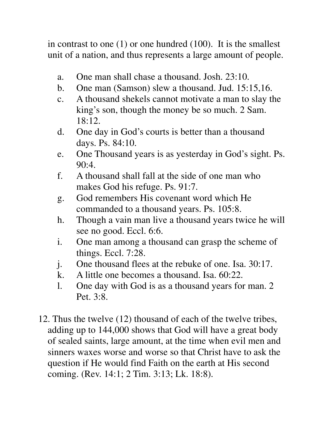in contrast to one (1) or one hundred (100). It is the smallest unit of a nation, and thus represents a large amount of people.

- a. One man shall chase a thousand. Josh. 23:10.
- b. One man (Samson) slew a thousand. Jud. 15:15,16.
- c. A thousand shekels cannot motivate a man to slay the king's son, though the money be so much. 2 Sam. 18:12.
- d. One day in God's courts is better than a thousand days. Ps. 84:10.
- e. One Thousand years is as yesterday in God's sight. Ps. 90:4.
- f. A thousand shall fall at the side of one man who makes God his refuge. Ps. 91:7.
- g. God remembers His covenant word which He commanded to a thousand years. Ps. 105:8.
- h. Though a vain man live a thousand years twice he will see no good. Eccl. 6:6.
- i. One man among a thousand can grasp the scheme of things. Eccl. 7:28.
- j. One thousand flees at the rebuke of one. Isa. 30:17.
- k. A little one becomes a thousand. Isa. 60:22.
- l. One day with God is as a thousand years for man. 2 Pet. 3:8.
- 12. Thus the twelve (12) thousand of each of the twelve tribes, adding up to 144,000 shows that God will have a great body of sealed saints, large amount, at the time when evil men and sinners waxes worse and worse so that Christ have to ask the question if He would find Faith on the earth at His second coming. (Rev. 14:1; 2 Tim. 3:13; Lk. 18:8).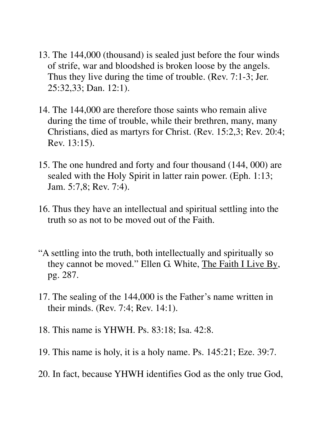- 13. The 144,000 (thousand) is sealed just before the four winds of strife, war and bloodshed is broken loose by the angels. Thus they live during the time of trouble. (Rev. 7:1-3; Jer. 25:32,33; Dan. 12:1).
- 14. The 144,000 are therefore those saints who remain alive during the time of trouble, while their brethren, many, many Christians, died as martyrs for Christ. (Rev. 15:2,3; Rev. 20:4; Rev. 13:15).
- 15. The one hundred and forty and four thousand (144, 000) are sealed with the Holy Spirit in latter rain power. (Eph. 1:13; Jam. 5:7,8; Rev. 7:4).
- 16. Thus they have an intellectual and spiritual settling into the truth so as not to be moved out of the Faith.
- "A settling into the truth, both intellectually and spiritually so they cannot be moved." Ellen G. White, The Faith I Live By, pg. 287.
- 17. The sealing of the 144,000 is the Father's name written in their minds. (Rev. 7:4; Rev. 14:1).
- 18. This name is YHWH. Ps. 83:18; Isa. 42:8.
- 19. This name is holy, it is a holy name. Ps. 145:21; Eze. 39:7.
- 20. In fact, because YHWH identifies God as the only true God,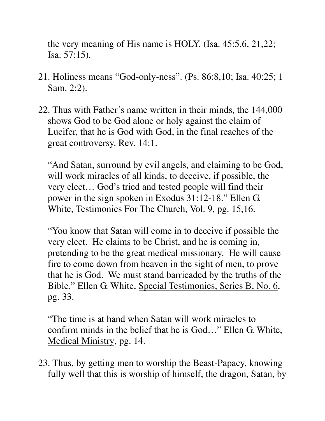the very meaning of His name is HOLY. (Isa. 45:5,6, 21,22; Isa. 57:15).

- 21. Holiness means "God-only-ness". (Ps. 86:8,10; Isa. 40:25; 1 Sam. 2:2).
- 22. Thus with Father's name written in their minds, the 144,000 shows God to be God alone or holy against the claim of Lucifer, that he is God with God, in the final reaches of the great controversy. Rev. 14:1.

 "And Satan, surround by evil angels, and claiming to be God, will work miracles of all kinds, to deceive, if possible, the very elect… God's tried and tested people will find their power in the sign spoken in Exodus 31:12-18." Ellen G. White, Testimonies For The Church, Vol. 9, pg. 15,16.

 "You know that Satan will come in to deceive if possible the very elect. He claims to be Christ, and he is coming in, pretending to be the great medical missionary. He will cause fire to come down from heaven in the sight of men, to prove that he is God. We must stand barricaded by the truths of the Bible." Ellen G. White, Special Testimonies, Series B, No. 6, pg. 33.

 "The time is at hand when Satan will work miracles to confirm minds in the belief that he is God…" Ellen G. White, Medical Ministry, pg. 14.

23. Thus, by getting men to worship the Beast-Papacy, knowing fully well that this is worship of himself, the dragon, Satan, by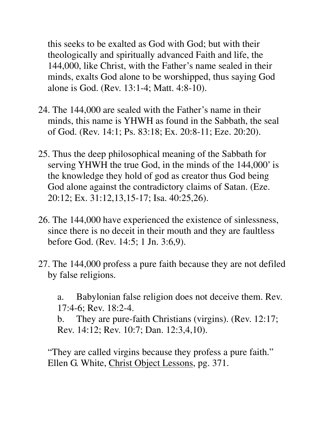this seeks to be exalted as God with God; but with their theologically and spiritually advanced Faith and life, the 144,000, like Christ, with the Father's name sealed in their minds, exalts God alone to be worshipped, thus saying God alone is God. (Rev. 13:1-4; Matt. 4:8-10).

- 24. The 144,000 are sealed with the Father's name in their minds, this name is YHWH as found in the Sabbath, the seal of God. (Rev. 14:1; Ps. 83:18; Ex. 20:8-11; Eze. 20:20).
- 25. Thus the deep philosophical meaning of the Sabbath for serving YHWH the true God, in the minds of the 144,000' is the knowledge they hold of god as creator thus God being God alone against the contradictory claims of Satan. (Eze. 20:12; Ex. 31:12,13,15-17; Isa. 40:25,26).
- 26. The 144,000 have experienced the existence of sinlessness, since there is no deceit in their mouth and they are faultless before God. (Rev. 14:5; 1 Jn. 3:6,9).
- 27. The 144,000 profess a pure faith because they are not defiled by false religions.
	- a. Babylonian false religion does not deceive them. Rev. 17:4-6; Rev. 18:2-4.

 b. They are pure-faith Christians (virgins). (Rev. 12:17; Rev. 14:12; Rev. 10:7; Dan. 12:3,4,10).

 "They are called virgins because they profess a pure faith." Ellen G. White, Christ Object Lessons, pg. 371.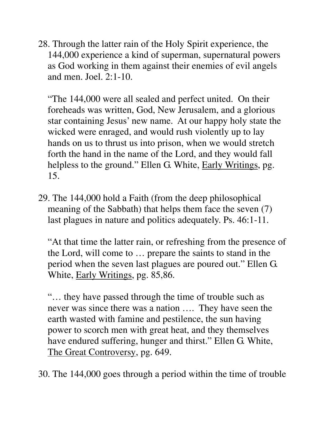28. Through the latter rain of the Holy Spirit experience, the 144,000 experience a kind of superman, supernatural powers as God working in them against their enemies of evil angels and men. Joel. 2:1-10.

 "The 144,000 were all sealed and perfect united. On their foreheads was written, God, New Jerusalem, and a glorious star containing Jesus' new name. At our happy holy state the wicked were enraged, and would rush violently up to lay hands on us to thrust us into prison, when we would stretch forth the hand in the name of the Lord, and they would fall helpless to the ground." Ellen G. White, Early Writings, pg. 15.

29. The 144,000 hold a Faith (from the deep philosophical meaning of the Sabbath) that helps them face the seven (7) last plagues in nature and politics adequately. Ps. 46:1-11.

 "At that time the latter rain, or refreshing from the presence of the Lord, will come to … prepare the saints to stand in the period when the seven last plagues are poured out." Ellen G. White, **Early Writings**, pg. 85,86.

 "… they have passed through the time of trouble such as never was since there was a nation …. They have seen the earth wasted with famine and pestilence, the sun having power to scorch men with great heat, and they themselves have endured suffering, hunger and thirst." Ellen G. White, The Great Controversy, pg. 649.

30. The 144,000 goes through a period within the time of trouble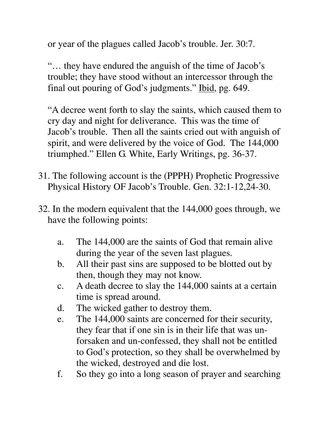or year of the plagues called Jacob's trouble. Jer. 30:7.

 "… they have endured the anguish of the time of Jacob's trouble; they have stood without an intercessor through the final out pouring of God's judgments." Ibid, pg. 649.

 "A decree went forth to slay the saints, which caused them to cry day and night for deliverance. This was the time of Jacob's trouble. Then all the saints cried out with anguish of spirit, and were delivered by the voice of God. The 144,000 triumphed." Ellen G. White, Early Writings, pg. 36-37.

- 31. The following account is the (PPPH) Prophetic Progressive Physical History OF Jacob's Trouble. Gen. 32:1-12,24-30.
- 32. In the modern equivalent that the 144,000 goes through, we have the following points:
	- a. The 144,000 are the saints of God that remain alive during the year of the seven last plagues.
	- b. All their past sins are supposed to be blotted out by then, though they may not know.
	- c. A death decree to slay the 144,000 saints at a certain time is spread around.
	- d. The wicked gather to destroy them.
	- e. The 144,000 saints are concerned for their security, they fear that if one sin is in their life that was un forsaken and un-confessed, they shall not be entitled to God's protection, so they shall be overwhelmed by the wicked, destroyed and die lost.
	- f. So they go into a long season of prayer and searching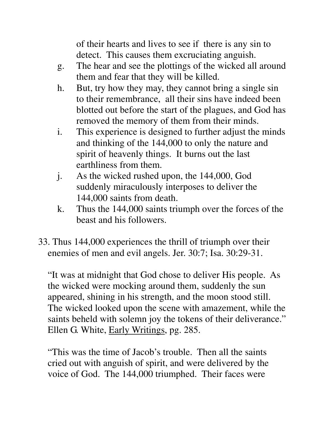of their hearts and lives to see if there is any sin to detect. This causes them excruciating anguish.

- g. The hear and see the plottings of the wicked all around them and fear that they will be killed.
- h. But, try how they may, they cannot bring a single sin to their remembrance, all their sins have indeed been blotted out before the start of the plagues, and God has removed the memory of them from their minds.
- i. This experience is designed to further adjust the minds and thinking of the 144,000 to only the nature and spirit of heavenly things. It burns out the last earthliness from them.
- j. As the wicked rushed upon, the 144,000, God suddenly miraculously interposes to deliver the 144,000 saints from death.
- k. Thus the 144,000 saints triumph over the forces of the beast and his followers.
- 33. Thus 144,000 experiences the thrill of triumph over their enemies of men and evil angels. Jer. 30:7; Isa. 30:29-31.

 "It was at midnight that God chose to deliver His people. As the wicked were mocking around them, suddenly the sun appeared, shining in his strength, and the moon stood still. The wicked looked upon the scene with amazement, while the saints beheld with solemn joy the tokens of their deliverance." Ellen G. White, Early Writings, pg. 285.

 "This was the time of Jacob's trouble. Then all the saints cried out with anguish of spirit, and were delivered by the voice of God. The 144,000 triumphed. Their faces were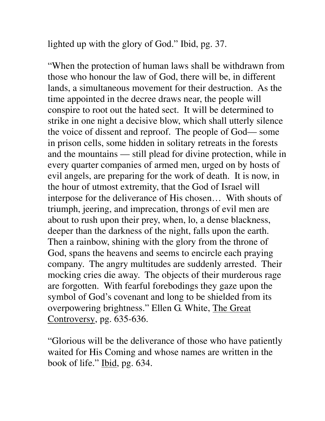lighted up with the glory of God." Ibid, pg. 37.

 "When the protection of human laws shall be withdrawn from those who honour the law of God, there will be, in different lands, a simultaneous movement for their destruction. As the time appointed in the decree draws near, the people will conspire to root out the hated sect. It will be determined to strike in one night a decisive blow, which shall utterly silence the voice of dissent and reproof. The people of God— some in prison cells, some hidden in solitary retreats in the forests and the mountains — still plead for divine protection, while in every quarter companies of armed men, urged on by hosts of evil angels, are preparing for the work of death. It is now, in the hour of utmost extremity, that the God of Israel will interpose for the deliverance of His chosen… With shouts of triumph, jeering, and imprecation, throngs of evil men are about to rush upon their prey, when, lo, a dense blackness, deeper than the darkness of the night, falls upon the earth. Then a rainbow, shining with the glory from the throne of God, spans the heavens and seems to encircle each praying company. The angry multitudes are suddenly arrested. Their mocking cries die away. The objects of their murderous rage are forgotten. With fearful forebodings they gaze upon the symbol of God's covenant and long to be shielded from its overpowering brightness." Ellen G. White, The Great Controversy, pg. 635-636.

 "Glorious will be the deliverance of those who have patiently waited for His Coming and whose names are written in the book of life." Ibid, pg. 634.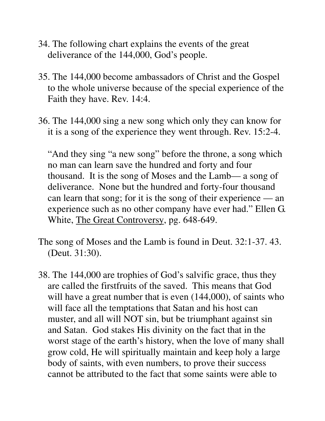- 34. The following chart explains the events of the great deliverance of the 144,000, God's people.
- 35. The 144,000 become ambassadors of Christ and the Gospel to the whole universe because of the special experience of the Faith they have. Rev. 14:4.
- 36. The 144,000 sing a new song which only they can know for it is a song of the experience they went through. Rev. 15:2-4.

 "And they sing "a new song" before the throne, a song which no man can learn save the hundred and forty and four thousand. It is the song of Moses and the Lamb— a song of deliverance. None but the hundred and forty-four thousand can learn that song; for it is the song of their experience — an experience such as no other company have ever had." Ellen G. White, The Great Controversy, pg. 648-649.

- The song of Moses and the Lamb is found in Deut. 32:1-37. 43. (Deut. 31:30).
- 38. The 144,000 are trophies of God's salvific grace, thus they are called the firstfruits of the saved. This means that God will have a great number that is even  $(144,000)$ , of saints who will face all the temptations that Satan and his host can muster, and all will NOT sin, but be triumphant against sin and Satan. God stakes His divinity on the fact that in the worst stage of the earth's history, when the love of many shall grow cold, He will spiritually maintain and keep holy a large body of saints, with even numbers, to prove their success cannot be attributed to the fact that some saints were able to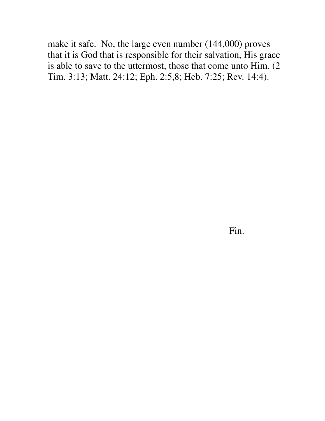make it safe. No, the large even number (144,000) proves that it is God that is responsible for their salvation, His grace is able to save to the uttermost, those that come unto Him. (2 Tim. 3:13; Matt. 24:12; Eph. 2:5,8; Heb. 7:25; Rev. 14:4).

Fin.